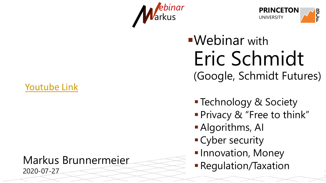- Webinar with
	-
	-
	-
	-
	-
	-

## Eric Schmidt (Google, Schmidt Futures)

■ Technology & Society **Privacy & "Free to think"** Algorithms, AI Cyber security **Innovation, Money - Regulation/Taxation** 





**B C F**

### Markus Brunnermeier 2020-07-27

## [Youtube](https://youtu.be/726B0y1D5ZM) Link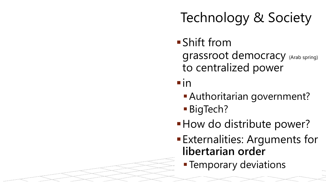## grassroot democracy (Arab spring) to centralized power

## Authoritarian government?

## **How do distribute power?** Externalities: Arguments for **- Temporary deviations**

- Shift from
- $\blacksquare$ in
	-
	- **BigTech?**
- 
- **libertarian order**
	-

## Technology & Society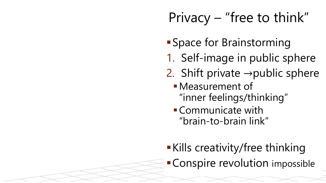- Space for Brainstorming
- 1. Self-image in public sphere
- 2. Shift private  $\rightarrow$  public sphere Measurement of
	- "inner feelings/thinking"
	- Communicate with "brain-to-brain link"
- Kills creativity/free thinking Conspire revolution impossible

## Privacy – "free to think"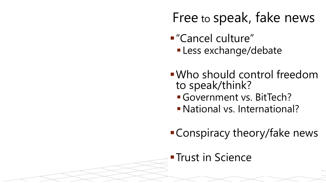- "Cancel culture"
- Who should control freedom to speak/think?
	- Government vs. BitTech?
	- National vs. International?
- Conspiracy theory/fake news
- **Trust in Science**

**Less exchange/debate** 

## Free to speak, fake news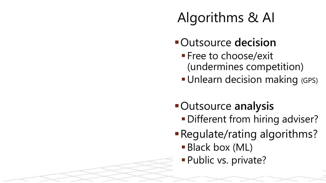- Outsource **decision Free to choose/exit** (undermines competition) **- Unlearn decision making (GPS)**
- **-Different from hiring adviser?** ■ Black box (ML) **Public vs. private?**
- Outsource **analysis** Regulate/rating algorithms?
- 
- 

## Algorithms & AI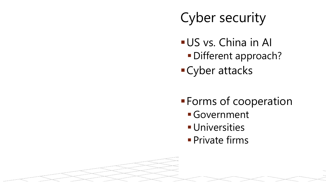## Cyber security

- US vs. China in Al
- Cyber attacks
- - Government
	- **Universities**
	- **Private firms**

# Different approach?

**Forms of cooperation**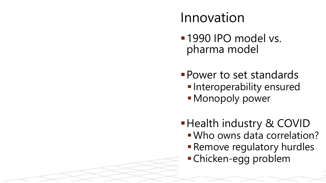**Health industry & COVID** Who owns data correlation? **Remove regulatory hurdles** Chicken-egg problem

## **1990 IPO model vs.** pharma model Innovation

- 
- **Power to set standards -Interoperability ensured - Monopoly power** 
	-
- -
	-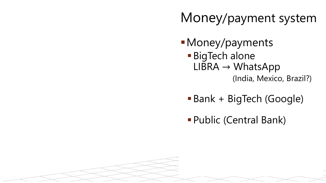Money/payments **BigTech alone**  $LIBRA \rightarrow WhatsApp$ 

(India, Mexico, Brazil?)

- Bank + BigTech (Google)
- Public (Central Bank)

## Money/payment system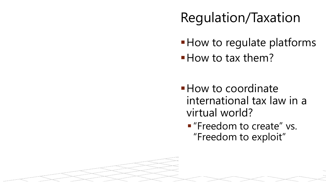- 
- **How to tax them?**
- virtual world?

# **How to regulate platforms**

**How to coordinate** international tax law in a **F** "Freedom to create" vs. "Freedom to exploit"

## Regulation/Taxation